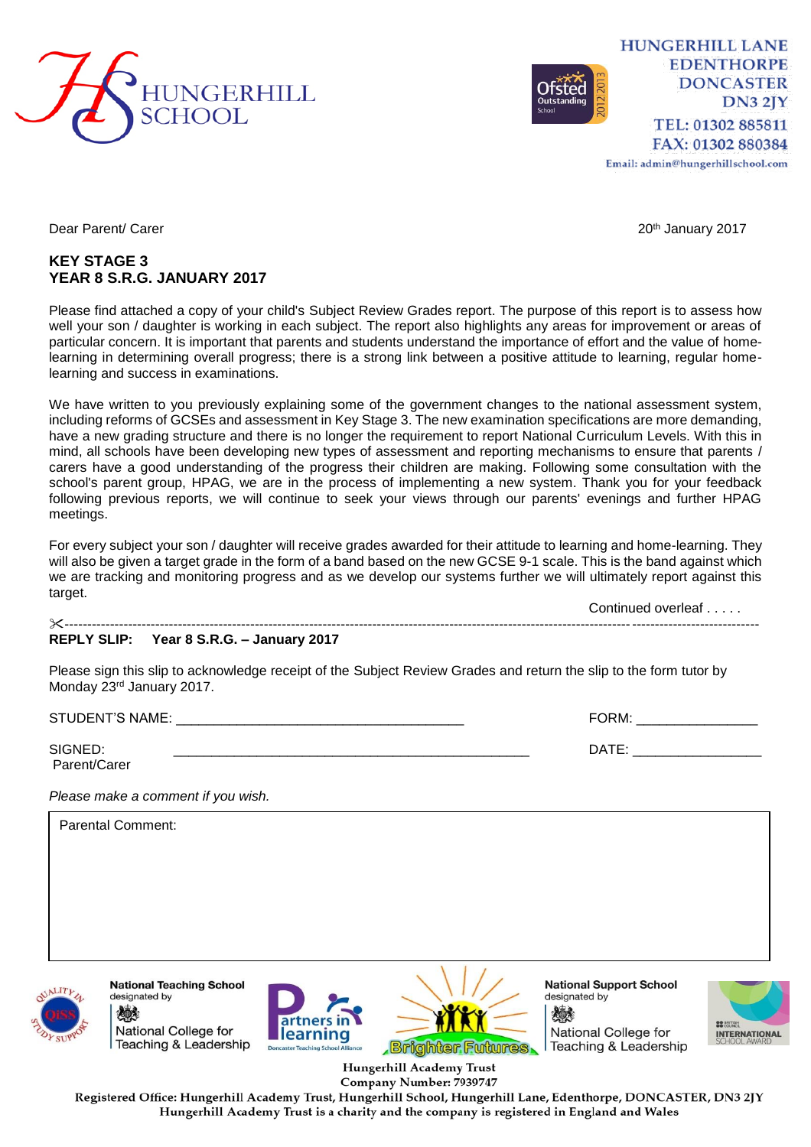

**HUNGERHILL LANE EDENTHORPE DONCASTER DN3 2JY** TEL: 01302 885811 FAX: 01302 880384 Email: admin@hungerhillschool.com

## **KEY STAGE 3 YEAR 8 S.R.G. JANUARY 2017**

Please find attached a copy of your child's Subject Review Grades report. The purpose of this report is to assess how well your son / daughter is working in each subject. The report also highlights any areas for improvement or areas of particular concern. It is important that parents and students understand the importance of effort and the value of homelearning in determining overall progress; there is a strong link between a positive attitude to learning, regular homelearning and success in examinations.

We have written to you previously explaining some of the government changes to the national assessment system, including reforms of GCSEs and assessment in Key Stage 3. The new examination specifications are more demanding, have a new grading structure and there is no longer the requirement to report National Curriculum Levels. With this in mind, all schools have been developing new types of assessment and reporting mechanisms to ensure that parents / carers have a good understanding of the progress their children are making. Following some consultation with the school's parent group, HPAG, we are in the process of implementing a new system. Thank you for your feedback following previous reports, we will continue to seek your views through our parents' evenings and further HPAG meetings.

For every subject your son / daughter will receive grades awarded for their attitude to learning and home-learning. They will also be given a target grade in the form of a band based on the new GCSE 9-1 scale. This is the band against which we are tracking and monitoring progress and as we develop our systems further we will ultimately report against this target.

Continued overleaf . . . . . ---------------------------------------------------------------------------------------------------------------------------------------------------------

## **REPLY SLIP: Year 8 S.R.G. – January 2017**

Please sign this slip to acknowledge receipt of the Subject Review Grades and return the slip to the form tutor by Monday 23rd January 2017.

Parent/Carer

STUDENT'S NAME: \_\_\_\_\_\_\_\_\_\_\_\_\_\_\_\_\_\_\_\_\_\_\_\_\_\_\_\_\_\_\_\_\_\_\_\_\_\_ FORM: \_\_\_\_\_\_\_\_\_\_\_\_\_\_\_\_

 $S$ igned:  $\blacksquare$ 

*Please make a comment if you wish.*

| <b>Parental Comment:</b> |                                  |
|--------------------------|----------------------------------|
|                          |                                  |
|                          |                                  |
|                          |                                  |
|                          |                                  |
|                          | the property of the state of the |



designated by 《 人 National College for Teaching & Leadership

**National Teaching School** 





**National Support School** designated by 燃 National College for Teaching & Leadership



Hungerhill Academy Trust Company Number: 7939747

Registered Office: Hungerhill Academy Trust, Hungerhill School, Hungerhill Lane, Edenthorpe, DONCASTER, DN3 2JY Hungerhill Academy Trust is a charity and the company is registered in England and Wales

Dear Parent/ Carer 2017 November 2017 20th January 2017